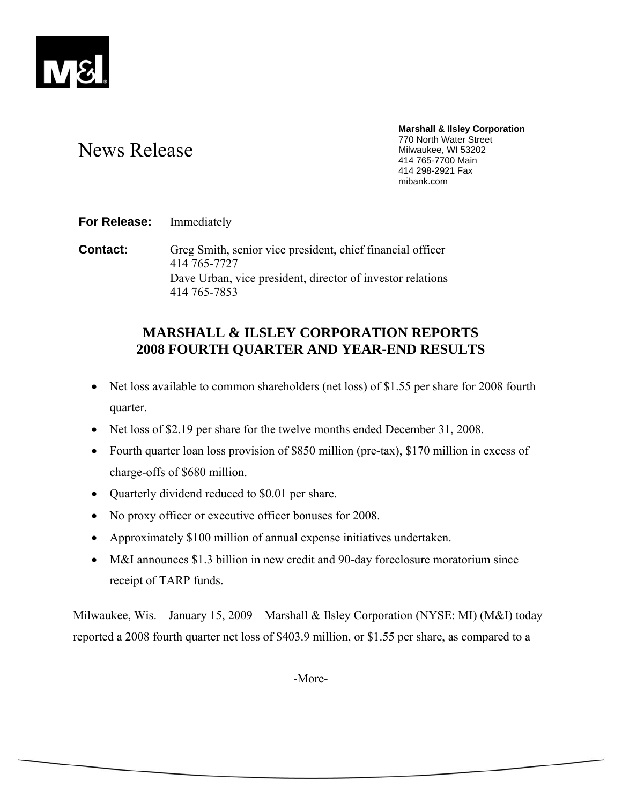

# News Release

**Marshall & Ilsley Corporation**  770 North Water Street Milwaukee, WI 53202 414 765-7700 Main 414 298-2921 Fax mibank.com

**For Release:** Immediately

**Contact:** Greg Smith, senior vice president, chief financial officer 414 765-7727 Dave Urban, vice president, director of investor relations 414 765-7853

# **MARSHALL & ILSLEY CORPORATION REPORTS 2008 FOURTH QUARTER AND YEAR-END RESULTS**

- Net loss available to common shareholders (net loss) of \$1.55 per share for 2008 fourth quarter.
- Net loss of \$2.19 per share for the twelve months ended December 31, 2008.
- Fourth quarter loan loss provision of \$850 million (pre-tax), \$170 million in excess of charge-offs of \$680 million.
- Quarterly dividend reduced to \$0.01 per share.
- No proxy officer or executive officer bonuses for 2008.
- Approximately \$100 million of annual expense initiatives undertaken.
- M&I announces \$1.3 billion in new credit and 90-day foreclosure moratorium since receipt of TARP funds.

Milwaukee, Wis. – January 15, 2009 – Marshall & Ilsley Corporation (NYSE: MI) (M&I) today reported a 2008 fourth quarter net loss of \$403.9 million, or \$1.55 per share, as compared to a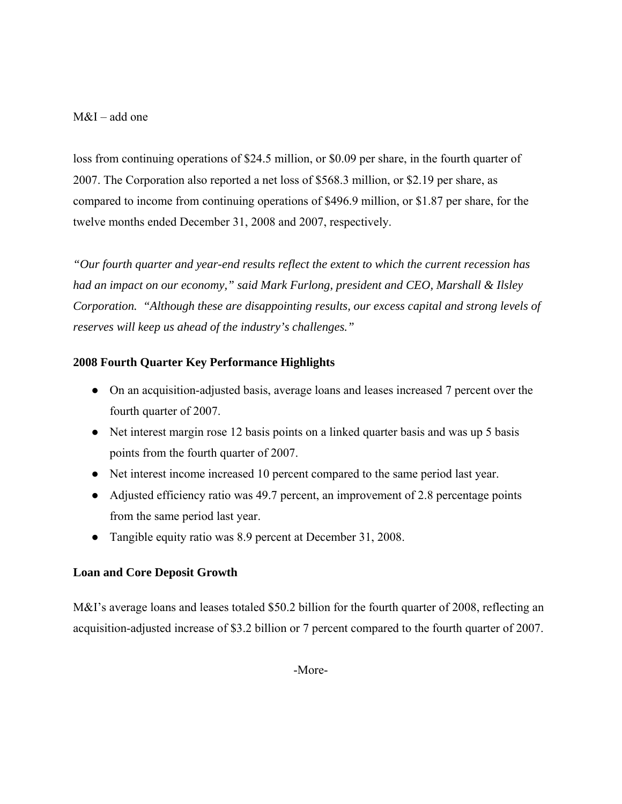## M&I – add one

loss from continuing operations of \$24.5 million, or \$0.09 per share, in the fourth quarter of 2007. The Corporation also reported a net loss of \$568.3 million, or \$2.19 per share, as compared to income from continuing operations of \$496.9 million, or \$1.87 per share, for the twelve months ended December 31, 2008 and 2007, respectively.

*"Our fourth quarter and year-end results reflect the extent to which the current recession has had an impact on our economy," said Mark Furlong, president and CEO, Marshall & Ilsley Corporation. "Although these are disappointing results, our excess capital and strong levels of reserves will keep us ahead of the industry's challenges."* 

## **2008 Fourth Quarter Key Performance Highlights**

- On an acquisition-adjusted basis, average loans and leases increased 7 percent over the fourth quarter of 2007.
- Net interest margin rose 12 basis points on a linked quarter basis and was up 5 basis points from the fourth quarter of 2007.
- Net interest income increased 10 percent compared to the same period last year.
- Adjusted efficiency ratio was 49.7 percent, an improvement of 2.8 percentage points from the same period last year.
- Tangible equity ratio was 8.9 percent at December 31, 2008.

## **Loan and Core Deposit Growth**

M&I's average loans and leases totaled \$50.2 billion for the fourth quarter of 2008, reflecting an acquisition-adjusted increase of \$3.2 billion or 7 percent compared to the fourth quarter of 2007.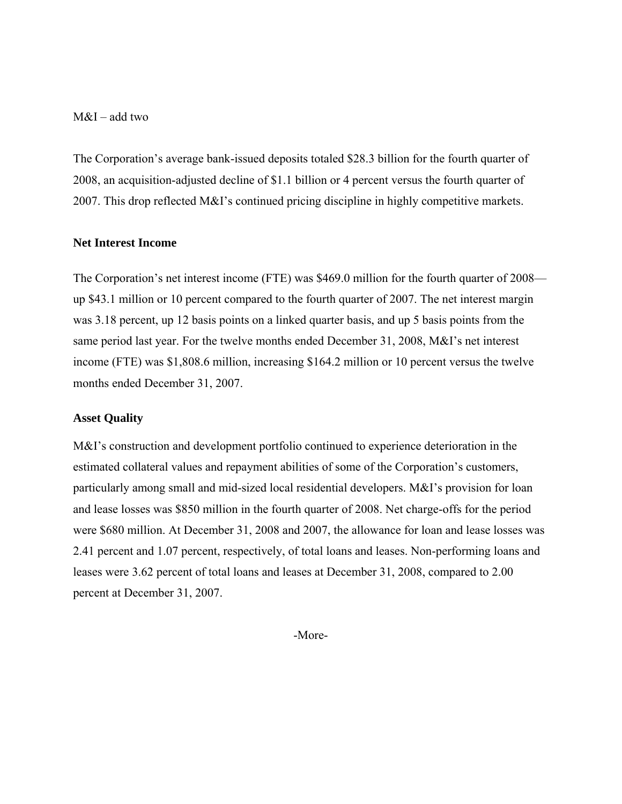M&I – add two

The Corporation's average bank-issued deposits totaled \$28.3 billion for the fourth quarter of 2008, an acquisition-adjusted decline of \$1.1 billion or 4 percent versus the fourth quarter of 2007. This drop reflected M&I's continued pricing discipline in highly competitive markets.

#### **Net Interest Income**

The Corporation's net interest income (FTE) was \$469.0 million for the fourth quarter of 2008 up \$43.1 million or 10 percent compared to the fourth quarter of 2007. The net interest margin was 3.18 percent, up 12 basis points on a linked quarter basis, and up 5 basis points from the same period last year. For the twelve months ended December 31, 2008, M&I's net interest income (FTE) was \$1,808.6 million, increasing \$164.2 million or 10 percent versus the twelve months ended December 31, 2007.

#### **Asset Quality**

M&I's construction and development portfolio continued to experience deterioration in the estimated collateral values and repayment abilities of some of the Corporation's customers, particularly among small and mid-sized local residential developers. M&I's provision for loan and lease losses was \$850 million in the fourth quarter of 2008. Net charge-offs for the period were \$680 million. At December 31, 2008 and 2007, the allowance for loan and lease losses was 2.41 percent and 1.07 percent, respectively, of total loans and leases. Non-performing loans and leases were 3.62 percent of total loans and leases at December 31, 2008, compared to 2.00 percent at December 31, 2007.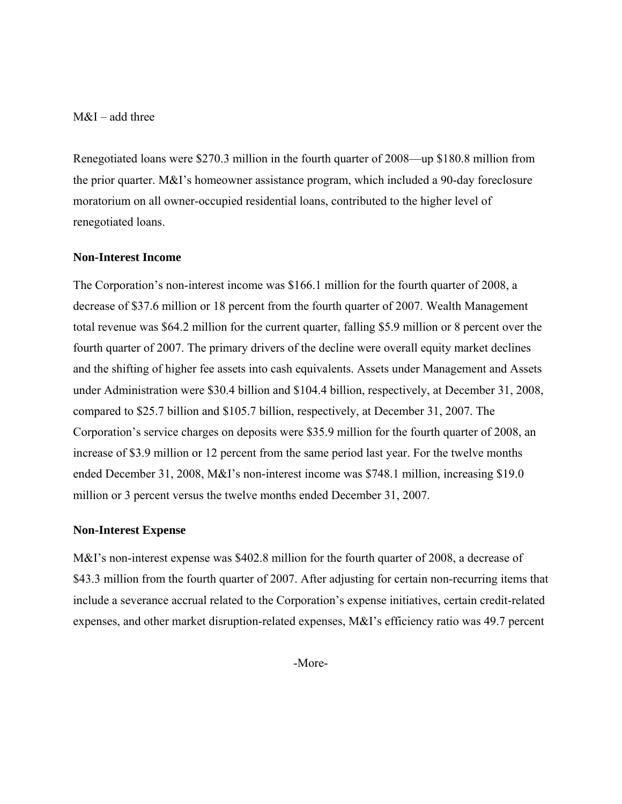M&I – add three

Renegotiated loans were \$270.3 million in the fourth quarter of 2008—up \$180.8 million from the prior quarter. M&I's homeowner assistance program, which included a 90-day foreclosure moratorium on all owner-occupied residential loans, contributed to the higher level of renegotiated loans.

#### **Non-Interest Income**

The Corporation's non-interest income was \$166.1 million for the fourth quarter of 2008, a decrease of \$37.6 million or 18 percent from the fourth quarter of 2007. Wealth Management total revenue was \$64.2 million for the current quarter, falling \$5.9 million or 8 percent over the fourth quarter of 2007. The primary drivers of the decline were overall equity market declines and the shifting of higher fee assets into cash equivalents. Assets under Management and Assets under Administration were \$30.4 billion and \$104.4 billion, respectively, at December 31, 2008, compared to \$25.7 billion and \$105.7 billion, respectively, at December 31, 2007. The Corporation's service charges on deposits were \$35.9 million for the fourth quarter of 2008, an increase of \$3.9 million or 12 percent from the same period last year. For the twelve months ended December 31, 2008, M&I's non-interest income was \$748.1 million, increasing \$19.0 million or 3 percent versus the twelve months ended December 31, 2007.

#### **Non-Interest Expense**

M&I's non-interest expense was \$402.8 million for the fourth quarter of 2008, a decrease of \$43.3 million from the fourth quarter of 2007. After adjusting for certain non-recurring items that include a severance accrual related to the Corporation's expense initiatives, certain credit-related expenses, and other market disruption-related expenses, M&I's efficiency ratio was 49.7 percent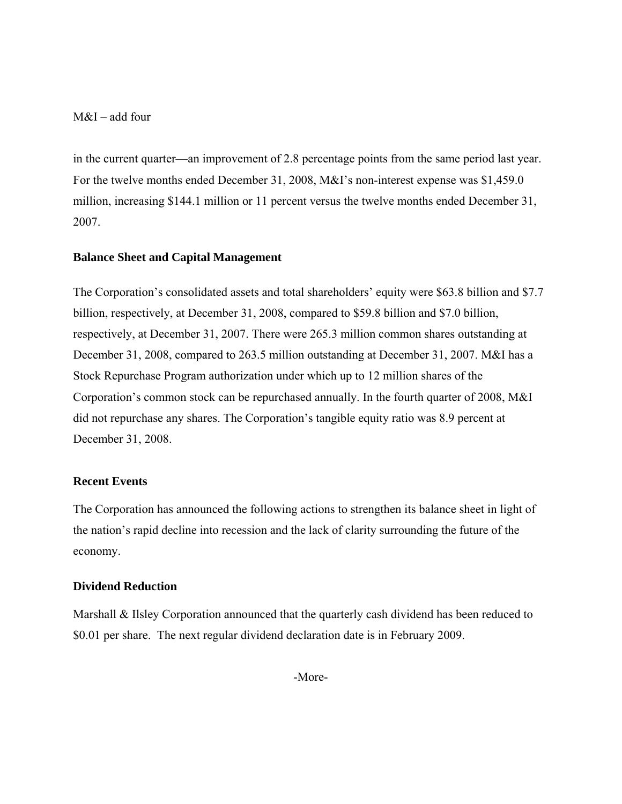M&I – add four

in the current quarter—an improvement of 2.8 percentage points from the same period last year. For the twelve months ended December 31, 2008, M&I's non-interest expense was \$1,459.0 million, increasing \$144.1 million or 11 percent versus the twelve months ended December 31, 2007.

## **Balance Sheet and Capital Management**

The Corporation's consolidated assets and total shareholders' equity were \$63.8 billion and \$7.7 billion, respectively, at December 31, 2008, compared to \$59.8 billion and \$7.0 billion, respectively, at December 31, 2007. There were 265.3 million common shares outstanding at December 31, 2008, compared to 263.5 million outstanding at December 31, 2007. M&I has a Stock Repurchase Program authorization under which up to 12 million shares of the Corporation's common stock can be repurchased annually. In the fourth quarter of 2008, M&I did not repurchase any shares. The Corporation's tangible equity ratio was 8.9 percent at December 31, 2008.

#### **Recent Events**

The Corporation has announced the following actions to strengthen its balance sheet in light of the nation's rapid decline into recession and the lack of clarity surrounding the future of the economy.

## **Dividend Reduction**

Marshall & Ilsley Corporation announced that the quarterly cash dividend has been reduced to \$0.01 per share. The next regular dividend declaration date is in February 2009.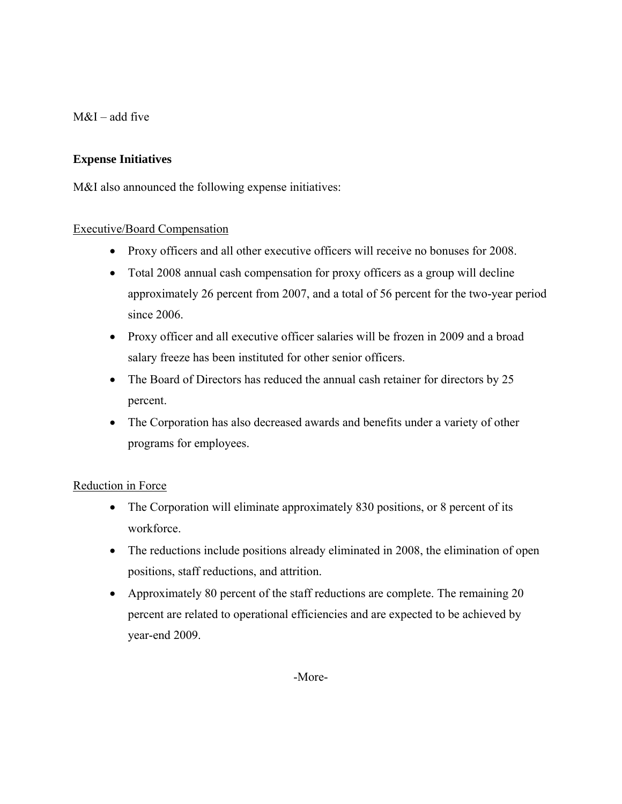$M&I$  – add five

## **Expense Initiatives**

M&I also announced the following expense initiatives:

## Executive/Board Compensation

- Proxy officers and all other executive officers will receive no bonuses for 2008.
- Total 2008 annual cash compensation for proxy officers as a group will decline approximately 26 percent from 2007, and a total of 56 percent for the two-year period since 2006.
- Proxy officer and all executive officer salaries will be frozen in 2009 and a broad salary freeze has been instituted for other senior officers.
- The Board of Directors has reduced the annual cash retainer for directors by 25 percent.
- The Corporation has also decreased awards and benefits under a variety of other programs for employees.

## Reduction in Force

- The Corporation will eliminate approximately 830 positions, or 8 percent of its workforce.
- The reductions include positions already eliminated in 2008, the elimination of open positions, staff reductions, and attrition.
- Approximately 80 percent of the staff reductions are complete. The remaining 20 percent are related to operational efficiencies and are expected to be achieved by year-end 2009.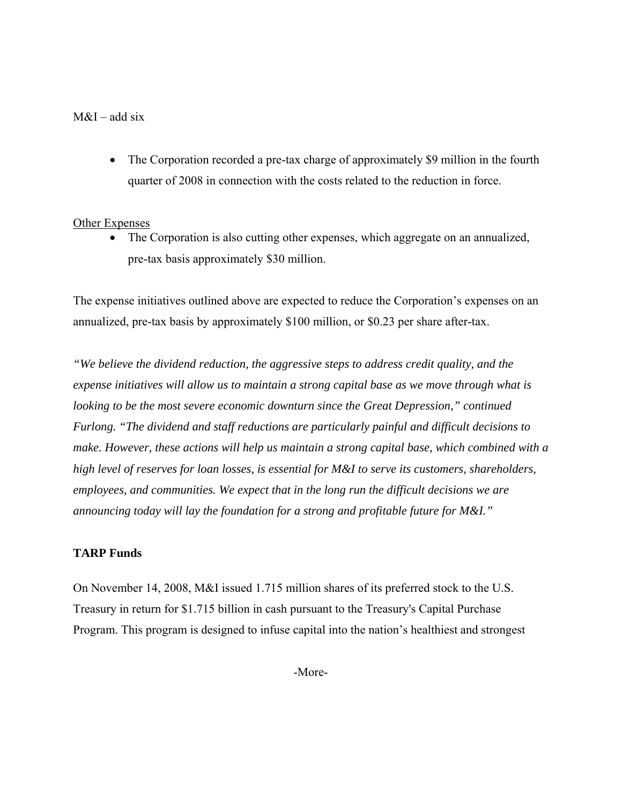## $M&I$  – add six

• The Corporation recorded a pre-tax charge of approximately \$9 million in the fourth quarter of 2008 in connection with the costs related to the reduction in force.

## Other Expenses

• The Corporation is also cutting other expenses, which aggregate on an annualized, pre-tax basis approximately \$30 million.

The expense initiatives outlined above are expected to reduce the Corporation's expenses on an annualized, pre-tax basis by approximately \$100 million, or \$0.23 per share after-tax.

*"We believe the dividend reduction, the aggressive steps to address credit quality, and the expense initiatives will allow us to maintain a strong capital base as we move through what is looking to be the most severe economic downturn since the Great Depression," continued Furlong. "The dividend and staff reductions are particularly painful and difficult decisions to make. However, these actions will help us maintain a strong capital base, which combined with a high level of reserves for loan losses, is essential for M&I to serve its customers, shareholders, employees, and communities. We expect that in the long run the difficult decisions we are announcing today will lay the foundation for a strong and profitable future for M&I."* 

## **TARP Funds**

On November 14, 2008, M&I issued 1.715 million shares of its preferred stock to the U.S. Treasury in return for \$1.715 billion in cash pursuant to the Treasury's Capital Purchase Program. This program is designed to infuse capital into the nation's healthiest and strongest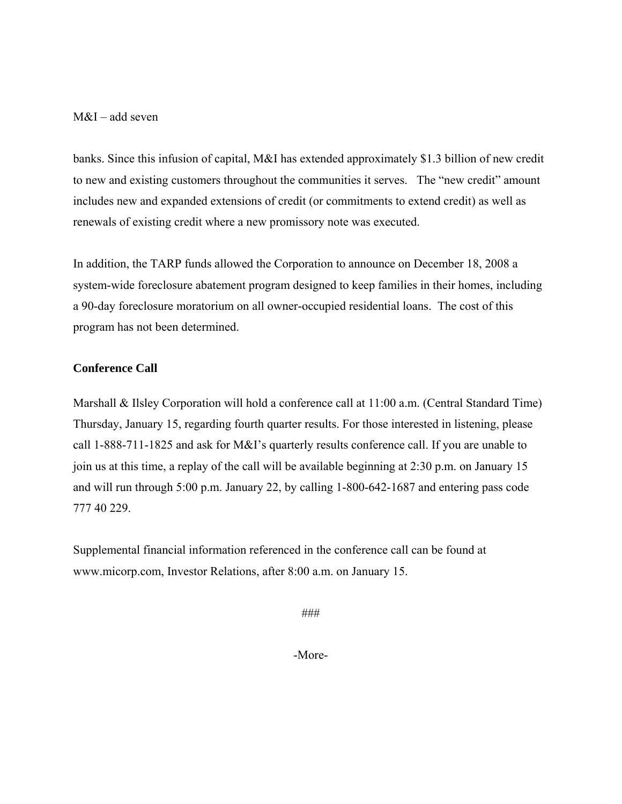## M&I – add seven

banks. Since this infusion of capital, M&I has extended approximately \$1.3 billion of new credit to new and existing customers throughout the communities it serves. The "new credit" amount includes new and expanded extensions of credit (or commitments to extend credit) as well as renewals of existing credit where a new promissory note was executed.

In addition, the TARP funds allowed the Corporation to announce on December 18, 2008 a system-wide foreclosure abatement program designed to keep families in their homes, including a 90-day foreclosure moratorium on all owner-occupied residential loans. The cost of this program has not been determined.

## **Conference Call**

Marshall & Ilsley Corporation will hold a conference call at 11:00 a.m. (Central Standard Time) Thursday, January 15, regarding fourth quarter results. For those interested in listening, please call 1-888-711-1825 and ask for M&I's quarterly results conference call. If you are unable to join us at this time, a replay of the call will be available beginning at 2:30 p.m. on January 15 and will run through 5:00 p.m. January 22, by calling 1-800-642-1687 and entering pass code 777 40 229.

Supplemental financial information referenced in the conference call can be found at www.micorp.com, Investor Relations, after 8:00 a.m. on January 15.

###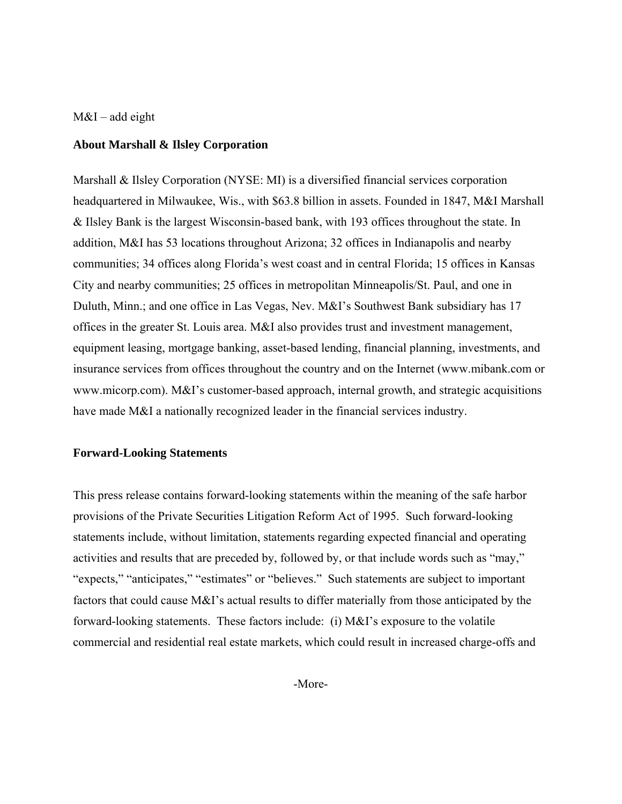### $M&I$  – add eight

#### **About Marshall & Ilsley Corporation**

Marshall & Ilsley Corporation (NYSE: MI) is a diversified financial services corporation headquartered in Milwaukee, Wis., with \$63.8 billion in assets. Founded in 1847, M&I Marshall & Ilsley Bank is the largest Wisconsin-based bank, with 193 offices throughout the state. In addition, M&I has 53 locations throughout Arizona; 32 offices in Indianapolis and nearby communities; 34 offices along Florida's west coast and in central Florida; 15 offices in Kansas City and nearby communities; 25 offices in metropolitan Minneapolis/St. Paul, and one in Duluth, Minn.; and one office in Las Vegas, Nev. M&I's Southwest Bank subsidiary has 17 offices in the greater St. Louis area. M&I also provides trust and investment management, equipment leasing, mortgage banking, asset-based lending, financial planning, investments, and insurance services from offices throughout the country and on the Internet (www.mibank.com or www.micorp.com). M&I's customer-based approach, internal growth, and strategic acquisitions have made M&I a nationally recognized leader in the financial services industry.

#### **Forward-Looking Statements**

This press release contains forward-looking statements within the meaning of the safe harbor provisions of the Private Securities Litigation Reform Act of 1995. Such forward-looking statements include, without limitation, statements regarding expected financial and operating activities and results that are preceded by, followed by, or that include words such as "may," "expects," "anticipates," "estimates" or "believes." Such statements are subject to important factors that could cause M&I's actual results to differ materially from those anticipated by the forward-looking statements. These factors include: (i) M&I's exposure to the volatile commercial and residential real estate markets, which could result in increased charge-offs and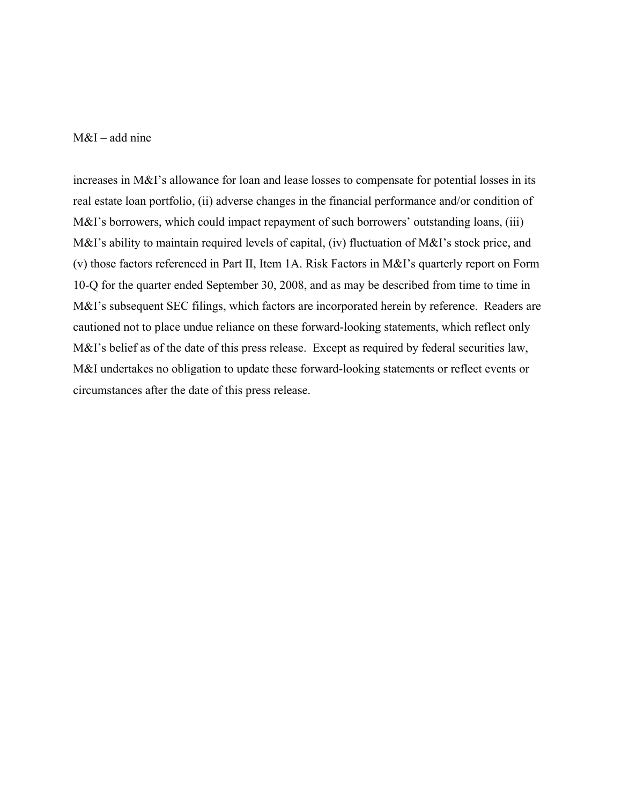#### $M&I$  – add nine

increases in M&I's allowance for loan and lease losses to compensate for potential losses in its real estate loan portfolio, (ii) adverse changes in the financial performance and/or condition of M&I's borrowers, which could impact repayment of such borrowers' outstanding loans, (iii) M&I's ability to maintain required levels of capital, (iv) fluctuation of M&I's stock price, and (v) those factors referenced in Part II, Item 1A. Risk Factors in M&I's quarterly report on Form 10-Q for the quarter ended September 30, 2008, and as may be described from time to time in M&I's subsequent SEC filings, which factors are incorporated herein by reference. Readers are cautioned not to place undue reliance on these forward-looking statements, which reflect only M&I's belief as of the date of this press release. Except as required by federal securities law, M&I undertakes no obligation to update these forward-looking statements or reflect events or circumstances after the date of this press release.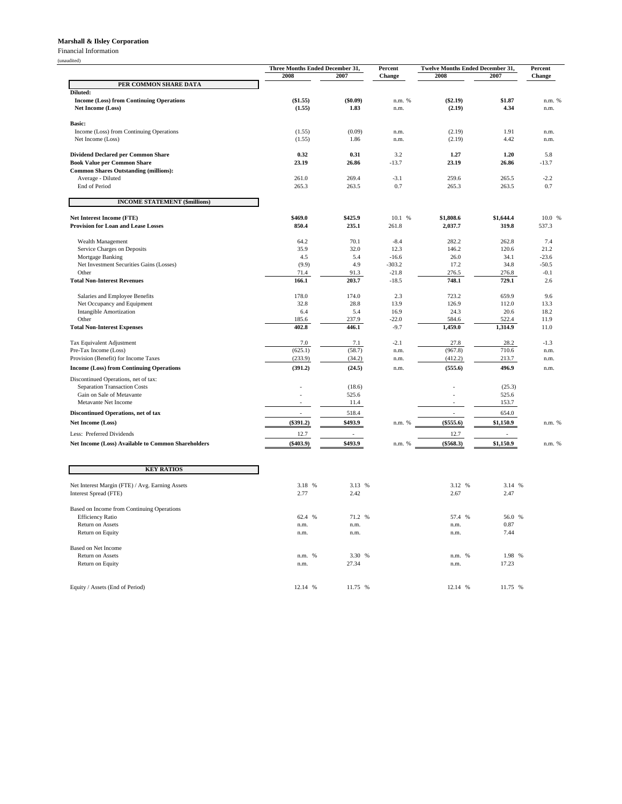#### **Marshall & Ilsley Corporation**

Financial Information

(unaudited)

|                                                                      | Three Months Ended December 31,<br>2008<br>2007 |                  | Percent<br>Change | Twelve Months Ended December 31,<br>2008 | Percent<br>Change |              |
|----------------------------------------------------------------------|-------------------------------------------------|------------------|-------------------|------------------------------------------|-------------------|--------------|
| PER COMMON SHARE DATA                                                |                                                 |                  |                   |                                          | 2007              |              |
| Diluted:                                                             |                                                 |                  |                   |                                          |                   |              |
| <b>Income (Loss) from Continuing Operations</b>                      | (\$1.55)                                        | (\$0.09)         | n.m. %            | $(\$2.19)$                               | \$1.87<br>4.34    | n.m. %       |
| Net Income (Loss)                                                    | (1.55)                                          | 1.83             | n.m.              | (2.19)                                   |                   | n.m.         |
| Basic:                                                               |                                                 |                  |                   |                                          |                   |              |
| Income (Loss) from Continuing Operations                             | (1.55)                                          | (0.09)           | n.m.              | (2.19)                                   | 1.91              | n.m.         |
| Net Income (Loss)                                                    | (1.55)                                          | 1.86             | n.m.              | (2.19)                                   | 4.42              | n.m.         |
| <b>Dividend Declared per Common Share</b>                            | 0.32                                            | 0.31             | 3.2               | 1.27                                     | 1.20              | 5.8          |
| <b>Book Value per Common Share</b>                                   | 23.19                                           | 26.86            | $-13.7$           | 23.19                                    | 26.86             | $-13.7$      |
| <b>Common Shares Outstanding (millions):</b>                         |                                                 | 269.4            | $-3.1$            | 259.6                                    | 265.5             | $-2.2$       |
| Average - Diluted<br>End of Period                                   | 261.0<br>265.3                                  | 263.5            | 0.7               | 265.3                                    | 263.5             | 0.7          |
|                                                                      |                                                 |                  |                   |                                          |                   |              |
| <b>INCOME STATEMENT (\$millions)</b>                                 |                                                 |                  |                   |                                          |                   |              |
| <b>Net Interest Income (FTE)</b>                                     | \$469.0                                         | \$425.9          | 10.1 %            | \$1,808.6                                | \$1,644.4         | 10.0 %       |
| <b>Provision for Loan and Lease Losses</b>                           | 850.4                                           | 235.1            | 261.8             | 2,037.7                                  | 319.8             | 537.3        |
|                                                                      |                                                 |                  |                   |                                          |                   |              |
| Wealth Management<br>Service Charges on Deposits                     | 64.2<br>35.9                                    | 70.1<br>32.0     | $-8.4$<br>12.3    | 282.2<br>146.2                           | 262.8<br>120.6    | 7.4<br>21.2  |
| Mortgage Banking                                                     | 4.5                                             | 5.4              | $-16.6$           | 26.0                                     | 34.1              | $-23.6$      |
| Net Investment Securities Gains (Losses)                             | (9.9)                                           | 4.9              | $-303.2$          | 17.2                                     | 34.8              | $-50.5$      |
| Other                                                                | 71.4                                            | 91.3             | $-21.8$           | 276.5                                    | 276.8             | $-0.1$       |
| <b>Total Non-Interest Revenues</b>                                   | 166.1                                           | 203.7            | $-18.5$           | 748.1                                    | 729.1             | 2.6          |
| Salaries and Employee Benefits                                       | 178.0                                           | 174.0            | 2.3               | 723.2                                    | 659.9             | 9.6          |
| Net Occupancy and Equipment                                          | 32.8                                            | 28.8             | 13.9              | 126.9                                    | 112.0             | 13.3         |
| <b>Intangible Amortization</b>                                       | 6.4                                             | 5.4              | 16.9              | 24.3                                     | 20.6              | 18.2         |
| Other<br><b>Total Non-Interest Expenses</b>                          | 185.6<br>402.8                                  | 237.9<br>446.1   | $-22.0$<br>$-9.7$ | 584.6<br>1,459.0                         | 522.4<br>1,314.9  | 11.9<br>11.0 |
|                                                                      |                                                 |                  |                   |                                          |                   |              |
| Tax Equivalent Adjustment                                            | 7.0                                             | 7.1              | $-2.1$            | 27.8                                     | 28.2              | $-1.3$       |
| Pre-Tax Income (Loss)<br>Provision (Benefit) for Income Taxes        | (625.1)<br>(233.9)                              | (58.7)<br>(34.2) | n.m.<br>n.m.      | (967.8)<br>(412.2)                       | 710.6<br>213.7    | n.m.<br>n.m. |
| <b>Income (Loss) from Continuing Operations</b>                      | (391.2)                                         | (24.5)           | n.m.              | (555.6)                                  | 496.9             | n.m.         |
|                                                                      |                                                 |                  |                   |                                          |                   |              |
| Discontinued Operations, net of tax:<br>Separation Transaction Costs |                                                 | (18.6)           |                   |                                          | (25.3)            |              |
| Gain on Sale of Metavante                                            |                                                 | 525.6            |                   |                                          | 525.6             |              |
| Metavante Net Income                                                 |                                                 | 11.4             |                   |                                          | 153.7             |              |
| <b>Discontinued Operations, net of tax</b>                           |                                                 | 518.4            |                   | $\overline{a}$                           | 654.0             |              |
| Net Income (Loss)                                                    | $(\$391.2)$                                     | \$493.9          | n.m. %            | (\$555.6)                                | \$1,150.9         | n.m. %       |
| Less: Preferred Dividends                                            | 12.7                                            |                  |                   | 12.7                                     |                   |              |
| Net Income (Loss) Available to Common Shareholders                   | $(\$403.9)$                                     | \$493.9          | n.m. %            | (\$568.3)                                | \$1,150.9         | n.m. %       |
|                                                                      |                                                 |                  |                   |                                          |                   |              |
| <b>KEY RATIOS</b>                                                    |                                                 |                  |                   |                                          |                   |              |
|                                                                      |                                                 |                  |                   |                                          |                   |              |
| Net Interest Margin (FTE) / Avg. Earning Assets                      | 3.18<br>%                                       | 3.13 %           |                   | 3.12 %                                   | 3.14<br>%         |              |
| Interest Spread (FTE)                                                | 2.77                                            | 2.42             |                   | 2.67                                     | 2.47              |              |
| Based on Income from Continuing Operations                           |                                                 |                  |                   |                                          |                   |              |
| <b>Efficiency Ratio</b>                                              | 62.4 %                                          | 71.2 %           |                   | 57.4 %                                   | 56.0 %            |              |
| Return on Assets                                                     | n.m.                                            | n.m.             |                   | n.m.                                     | 0.87              |              |
| Return on Equity                                                     | n.m.                                            | n.m.             |                   | n.m.                                     | 7.44              |              |
| <b>Based on Net Income</b>                                           |                                                 |                  |                   |                                          |                   |              |
| Return on Assets                                                     | n.m.<br>$\frac{9}{6}$                           | 3.30<br>%        |                   | %<br>n.m.                                | 1.98 %            |              |
| Return on Equity                                                     | n.m.                                            | 27.34            |                   | n.m.                                     | 17.23             |              |
|                                                                      |                                                 |                  |                   |                                          |                   |              |
| Equity / Assets (End of Period)                                      | 12.14 %                                         | 11.75 %          |                   | 12.14 %                                  | 11.75 %           |              |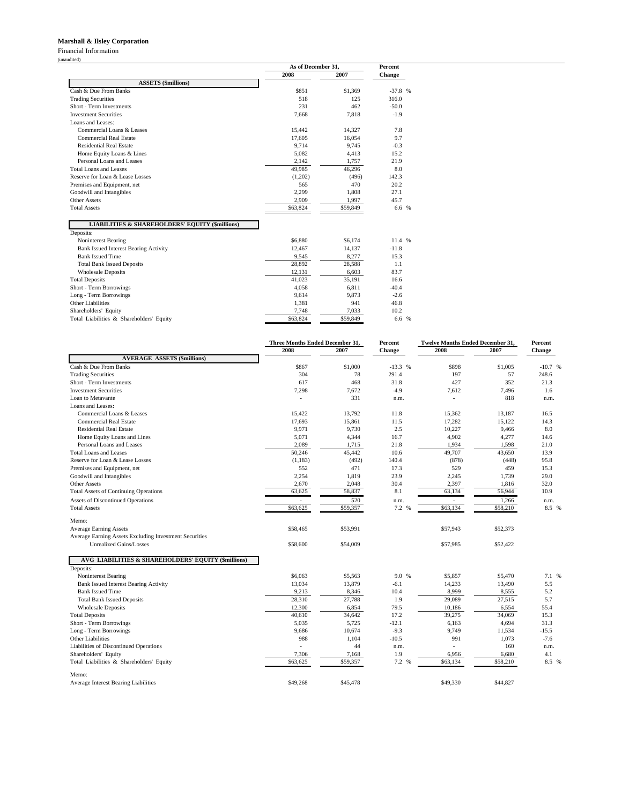#### **Marshall & Ilsley Corporation**

Financial Information

(unaudited)

|                                                            | As of December 31, | <b>Percent</b> |               |
|------------------------------------------------------------|--------------------|----------------|---------------|
|                                                            | 2008               | 2007           | <b>Change</b> |
| <b>ASSETS (\$millions)</b>                                 |                    |                |               |
| Cash & Due From Banks                                      | \$851              | \$1,369        | $-37.8$ %     |
| <b>Trading Securities</b>                                  | 518                | 125            | 316.0         |
| Short - Term Investments                                   | 231                | 462            | $-50.0$       |
| <b>Investment Securities</b>                               | 7.668              | 7.818          | $-1.9$        |
| Loans and Leases:                                          |                    |                |               |
| Commercial Loans & Leases                                  | 15,442             | 14,327         | 7.8           |
| Commercial Real Estate                                     | 17,605             | 16,054         | 9.7           |
| <b>Residential Real Estate</b>                             | 9.714              | 9,745          | $-0.3$        |
| Home Equity Loans & Lines                                  | 5.082              | 4.413          | 15.2          |
| Personal Loans and Leases                                  | 2.142              | 1,757          | 21.9          |
| Total Loans and Leases                                     | 49.985             | 46,296         | 8.0           |
| Reserve for Loan & Lease Losses                            | (1,202)            | (496)          | 142.3         |
| Premises and Equipment, net                                | 565                | 470            | 20.2          |
| Goodwill and Intangibles                                   | 2,299              | 1,808          | 27.1          |
| Other Assets                                               | 2,909              | 1,997          | 45.7          |
| <b>Total Assets</b>                                        | \$63,824           | \$59,849       | 6.6 %         |
| <b>LIABILITIES &amp; SHAREHOLDERS' EQUITY (\$millions)</b> |                    |                |               |
| Deposits:                                                  |                    |                |               |
| Noninterest Bearing                                        | \$6,880            | \$6.174        | 11.4 %        |
| <b>Bank Issued Interest Bearing Activity</b>               | 12,467             | 14,137         | $-11.8$       |
| <b>Bank Issued Time</b>                                    | 9.545              | 8.277          | 15.3          |
| <b>Total Bank Issued Deposits</b>                          | 28,892             | 28,588         | 1.1           |
| <b>Wholesale Deposits</b>                                  | 12,131             | 6,603          | 83.7          |
| <b>Total Deposits</b>                                      | 41,023             | 35,191         | 16.6          |
| Short - Term Borrowings                                    | 4,058              | 6.811          | $-40.4$       |
| Long - Term Borrowings                                     | 9,614              | 9,873          | $-2.6$        |
| Other Liabilities                                          | 1,381              | 941            | 46.8          |
| Shareholders' Equity                                       | 7,748              | 7,033          | 10.2          |
| Total Liabilities & Shareholders' Equity                   | \$63,824           | \$59,849       | 6.6 %         |

|                                                                                          | Three Months Ended December 31, |          | Percent   | <b>Twelve Months Ended December 31,</b> | Percent  |          |  |
|------------------------------------------------------------------------------------------|---------------------------------|----------|-----------|-----------------------------------------|----------|----------|--|
|                                                                                          | 2008                            | 2007     | Change    | 2008                                    | 2007     | Change   |  |
| <b>AVERAGE ASSETS (\$millions)</b>                                                       |                                 |          |           |                                         |          |          |  |
| Cash & Due From Banks                                                                    | \$867                           | \$1,000  | $-13.3$ % | \$898                                   | \$1,005  | $-10.7%$ |  |
| <b>Trading Securities</b>                                                                | 304                             | 78       | 291.4     | 197                                     | 57       | 248.6    |  |
| Short - Term Investments                                                                 | 617                             | 468      | 31.8      | 427                                     | 352      | 21.3     |  |
| <b>Investment Securities</b>                                                             | 7,298                           | 7,672    | $-4.9$    | 7,612                                   | 7,496    | 1.6      |  |
| Loan to Metavante                                                                        | L,                              | 331      | n.m.      |                                         | 818      | n.m.     |  |
| Loans and Leases:                                                                        |                                 |          |           |                                         |          |          |  |
| Commercial Loans & Leases                                                                | 15,422                          | 13,792   | 11.8      | 15,362                                  | 13,187   | 16.5     |  |
| <b>Commercial Real Estate</b>                                                            | 17,693                          | 15,861   | 11.5      | 17.282                                  | 15.122   | 14.3     |  |
| <b>Residential Real Estate</b>                                                           | 9,971                           | 9,730    | 2.5       | 10,227                                  | 9,466    | 8.0      |  |
| Home Equity Loans and Lines                                                              | 5,071                           | 4,344    | 16.7      | 4,902                                   | 4,277    | 14.6     |  |
| Personal Loans and Leases                                                                | 2,089                           | 1,715    | 21.8      | 1,934                                   | 1,598    | 21.0     |  |
| <b>Total Loans and Leases</b>                                                            | 50,246                          | 45,442   | 10.6      | 49,707                                  | 43,650   | 13.9     |  |
| Reserve for Loan & Lease Losses                                                          | (1,183)                         | (492)    | 140.4     | (878)                                   | (448)    | 95.8     |  |
| Premises and Equipment, net                                                              | 552                             | 471      | 17.3      | 529                                     | 459      | 15.3     |  |
| Goodwill and Intangibles                                                                 | 2,254                           | 1,819    | 23.9      | 2,245                                   | 1,739    | 29.0     |  |
| Other Assets                                                                             | 2,670                           | 2,048    | 30.4      | 2,397                                   | 1,816    | 32.0     |  |
| <b>Total Assets of Continuing Operations</b>                                             | 63,625                          | 58,837   | 8.1       | 63,134                                  | 56,944   | 10.9     |  |
| Assets of Discontinued Operations                                                        | $\sim$                          | 520      | n.m.      | $\sim$                                  | 1,266    | n.m.     |  |
| <b>Total Assets</b>                                                                      | \$63,625                        | \$59,357 | 7.2 %     | \$63,134                                | \$58,210 | 8.5 %    |  |
|                                                                                          |                                 |          |           |                                         |          |          |  |
| Memo:<br><b>Average Earning Assets</b>                                                   | \$58,465                        | \$53,991 |           | \$57,943                                | \$52,373 |          |  |
|                                                                                          |                                 |          |           |                                         |          |          |  |
| Average Earning Assets Excluding Investment Securities<br><b>Unrealized Gains/Losses</b> |                                 |          |           |                                         |          |          |  |
|                                                                                          | \$58,600                        | \$54,009 |           | \$57,985                                | \$52,422 |          |  |
| AVG LIABILITIES & SHAREHOLDERS' EQUITY (\$millions)                                      |                                 |          |           |                                         |          |          |  |
| Deposits:                                                                                |                                 |          |           |                                         |          |          |  |
| Noninterest Bearing                                                                      | \$6,063                         | \$5,563  | 9.0 %     | \$5,857                                 | \$5,470  | 7.1 %    |  |
| <b>Bank Issued Interest Bearing Activity</b>                                             | 13,034                          | 13,879   | $-6.1$    | 14,233                                  | 13,490   | 5.5      |  |
| <b>Bank Issued Time</b>                                                                  | 9,213                           | 8,346    | 10.4      | 8,999                                   | 8,555    | 5.2      |  |
| <b>Total Bank Issued Deposits</b>                                                        | 28,310                          | 27,788   | 1.9       | 29,089                                  | 27,515   | 5.7      |  |
| <b>Wholesale Deposits</b>                                                                | 12,300                          | 6,854    | 79.5      | 10,186                                  | 6,554    | 55.4     |  |
| <b>Total Deposits</b>                                                                    | 40,610                          | 34,642   | 17.2      | 39,275                                  | 34,069   | 15.3     |  |
| Short - Term Borrowings                                                                  | 5,035                           | 5,725    | $-12.1$   | 6,163                                   | 4,694    | 31.3     |  |
| Long - Term Borrowings                                                                   | 9,686                           | 10,674   | $-9.3$    | 9,749                                   | 11,534   | $-15.5$  |  |
| <b>Other Liabilities</b>                                                                 | 988                             | 1,104    | $-10.5$   | 991                                     | 1,073    | $-7.6$   |  |
| Liabilities of Discontinued Operations                                                   | L,                              | 44       | n.m.      |                                         | 160      | n.m.     |  |
| Shareholders' Equity                                                                     | 7,306                           | 7,168    | 1.9       | 6,956                                   | 6,680    | 4.1      |  |
| Total Liabilities & Shareholders' Equity                                                 | \$63,625                        | \$59,357 | 7.2 %     | \$63,134                                | \$58,210 | 8.5 %    |  |
|                                                                                          |                                 |          |           |                                         |          |          |  |
| Memo:                                                                                    |                                 |          |           |                                         |          |          |  |
| Average Interest Bearing Liabilities                                                     | \$49,268                        | \$45,478 |           | \$49,330                                | \$44,827 |          |  |